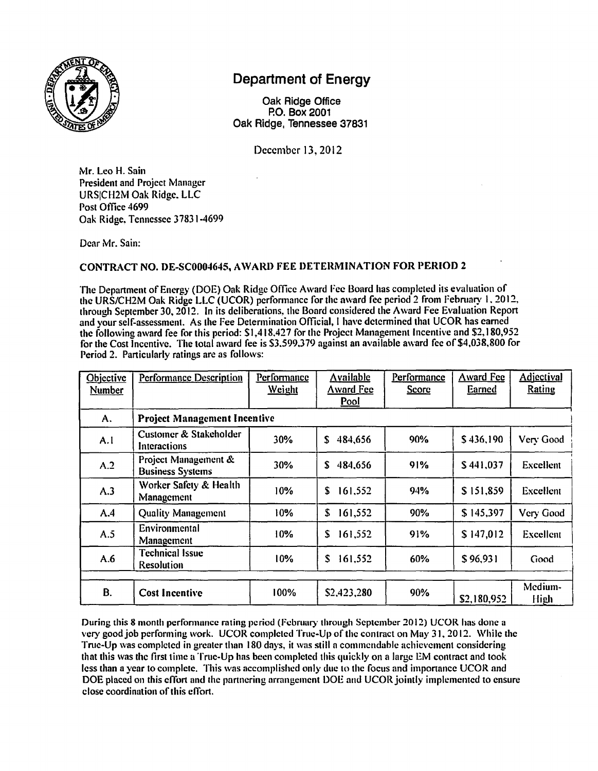

## **Department of Energy**

Oak Ridge Office P.O. Box 2001 Oak Ridge, Tennessee 37831

December 13, 2012

Mr. Leo H. Sain President and Project Manager URSICH2M Oak Ridge. LLC Post Office 4699 Oak Ridge. Tennessee 37831-4699

Dear Mr. Sain:

## **CONTRACT NO. DE-SC0004645, AW ARD FEE DETERMINATION FOR PERIOD 2**

The Department of Energy (DOE) Oak Ridge Office Award Fee Board has completed its evaluation of the URS/CH2M Oak Ridge LLC (UCOR) pcrfonnance for the award fee period 2 from February I. 2012, through September 30, 2012. In its deliberations, the Board considered the Award Fee Evaluation Repon and your self-assessment. As the Fee Determination Official, I have determined that UCOR has earned the following award fee for this period: \$1,418,427 for the Project Management Incentive and \$2,180,952 for the Cost Incentive. The total award fee is \$3.599.379 against an available award fee of \$4,038,800 for Period 2. Particularly ratings are as follows:

| <b>Objective</b><br><b>Number</b> | <b>Performance Description</b>                  | Performance<br><b>Weight</b> | <b>Available</b><br><b>Award Fee</b><br>Pool | Performance<br><b>Score</b> | <b>Award Fee</b><br><u>Earned</u> | <b>Adjectival</b><br>Rating |
|-----------------------------------|-------------------------------------------------|------------------------------|----------------------------------------------|-----------------------------|-----------------------------------|-----------------------------|
| A.                                | <b>Project Management Incentive</b>             |                              |                                              |                             |                                   |                             |
| A.I                               | Customer & Stakeholder<br>Interactions          | 30%                          | S.<br>484,656                                | 90%                         | \$436,190                         | Very Good                   |
| A.2                               | Project Management &<br><b>Business Systems</b> | 30%                          | \$<br>484,656                                | 91%                         | \$441,037                         | <b>Excellent</b>            |
| A.3                               | Worker Safety & Health<br>Management            | 10%                          | \$<br>161,552                                | 94%                         | \$151,859                         | Excellent                   |
| A.4                               | <b>Quality Management</b>                       | 10%                          | \$<br>161,552                                | 90%                         | \$145,397                         | Very Good                   |
| A.5                               | Environmental<br>Management                     | 10%                          | S<br>161,552                                 | 91%                         | \$147,012                         | Excellent                   |
| A.6                               | <b>Technical Issue</b><br><b>Resolution</b>     | 10%                          | \$<br>161,552                                | 60%                         | \$96,931                          | Good                        |
| В.                                | <b>Cost Incentive</b>                           | 100%                         | \$2,423,280                                  | 90%                         | \$2,180,952                       | Medium-<br><b>High</b>      |

During this 8 month perfornumcc rating period (February through September 2012) UCOR has done a very good job perfonning work. UCOR completed True-Up of the contract on May 31.2012. While the True-Up was completed in greater than 180 days, it was still n commendable achievement considering that this was the first time a True-Up has been completed this quickly on a large EM contract and took less than a year to complete. This was accomplished only due to the focus and imponancc UCOR and DOE placed on this effort and the partnering arrangement DOE and UCOR jointly implemented to ensure close coordination of this effort.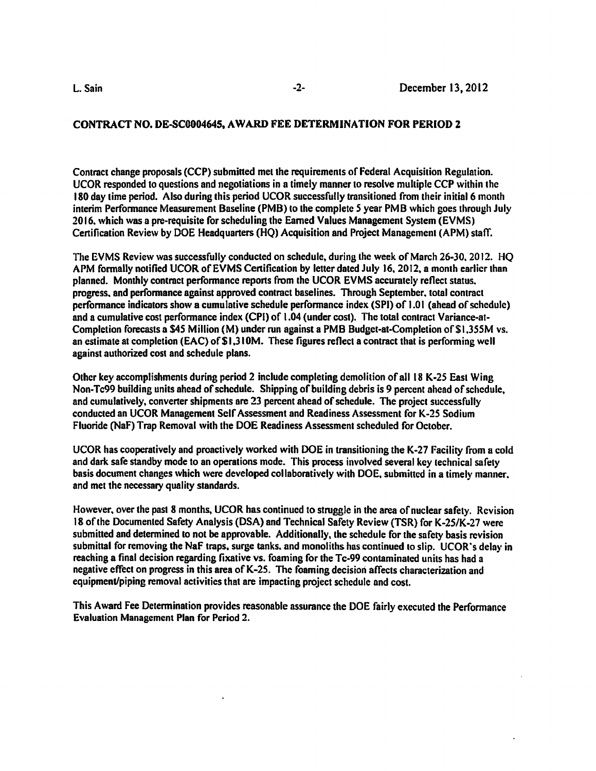## **CONTRACT NO. DE-SC0004645, AWARD FEE DETERMINATION FOR PERIOD 2**

Contract change proposals (CCP) submitted met the requirements of Federal Acquisition Regulation. UCOR responded to questions and negotiations in a timely manner to resolve multiple CCP within the 180 day lime period. Also during this period UCOR successfully transitioned from their initial 6 monlh interim Performance Measurement Baseline (PMB) to the complete *S* year PMB which goes through July 2016. which was a pre-requisite for scheduling the Earned Values Management System (EVMS) Certification Review by DOE Headquaners (HQ) Acquisition and Project Management (APM) staff.

The EVMS Review was successfully conducted on schedule, during the week of March 26-30. 2012. HQ APM formally notified UCOR of EVMS Certification by letter dated July 16, 2012, a month earlier than planned. Monthly contract perfonnance repons from the UCOR EVMS accurately reflect status. progress. and perfonnance against approved contract baselines. Through September. total contract performance indicators show a cumulative schedule performance index  $(SPI)$  of 1.01 (ahead of schedule) and a cumulative cost performance index **(CPI)** of 1.04 {under cost). The total contract Variance-at-Completion forecasts a \$4S Million (M) under run against a PMB Budget-at-Completion of \$1,355M vs. an estimate at completion (EAC) of \$1,310M. These figures reflect a contract that is performing well against authorized cost and schedule plans.

Other key accomplishments during period 2 include completing demolition of all 18 K-25 East Wing Non-Tc99 building units ahead of schedule. Shipping of building debris is 9 percent ahead of schedule, and cumulatively, convener shipments are 23 percent ahead of schedule. The project successfully conducted an UCOR Management Self Assessment and Readiness Assessment for K-25 Sodium Fluoride (NaF) Trap Removal with the DOE Readiness Assessment scheduled for October.

UCOR has cooperatively and proactively worked with DOE in transitioning the K-27 facility from a cold and dark safe standby mode to an operations mode. This process involved several key technical safety basis document changes which were developed collaboratively with DOE. submitted in a timely manner. and met the necessary quality standards.

However, over the past 8 months, UCOR has continued to struggle in the area of nuclear safety. Revision 18 of the Documented Safety Analysis (DSA) and Technical Safety Review (TSR) for K-2S/K-27 were submitted and determined to not be approvable. Additionally, the schedule for the safety basis revision submittal for removing the NaF traps, surge tanks, and monoliths has continued to slip. UCOR's delay in reaching a final decision regarding fixative vs. foaming for the Tc-99 contaminated units has had a negative effect on progress in this area of K-25. The foaming decision affects characterization and equipment/piping removal activities that are impacting project schedule and cost.

This Award Fee Determination provides reasonable assurance the DOE fairly executed the Performance Evaluation Management Plan for Period 2.